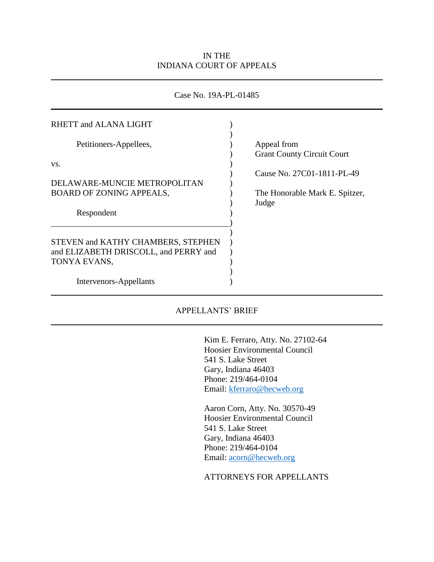## IN THE INDIANA COURT OF APPEALS

## Case No. 19A-PL-01485

| RHETT and ALANA LIGHT                 |                                   |
|---------------------------------------|-----------------------------------|
| Petitioners-Appellees,                | Appeal from                       |
| VS.                                   | <b>Grant County Circuit Court</b> |
|                                       | Cause No. 27C01-1811-PL-49        |
| DELAWARE-MUNCIE METROPOLITAN          |                                   |
| <b>BOARD OF ZONING APPEALS,</b>       | The Honorable Mark E. Spitzer,    |
|                                       | Judge                             |
| Respondent                            |                                   |
|                                       |                                   |
|                                       |                                   |
| STEVEN and KATHY CHAMBERS, STEPHEN    |                                   |
| and ELIZABETH DRISCOLL, and PERRY and |                                   |
| TONYA EVANS,                          |                                   |
|                                       |                                   |
| Intervenors-Appellants                |                                   |
|                                       |                                   |

## APPELLANTS' BRIEF

Kim E. Ferraro, Atty. No. 27102-64 Hoosier Environmental Council 541 S. Lake Street Gary, Indiana 46403 Phone: 219/464-0104 Email: [kferraro@hecweb.org](mailto:kferraro@hecweb.org)

Aaron Corn, Atty. No. 30570-49 Hoosier Environmental Council 541 S. Lake Street Gary, Indiana 46403 Phone: 219/464-0104 Email: [acorn@hecweb.org](mailto:acorn@hecweb.org)

## ATTORNEYS FOR APPELLANTS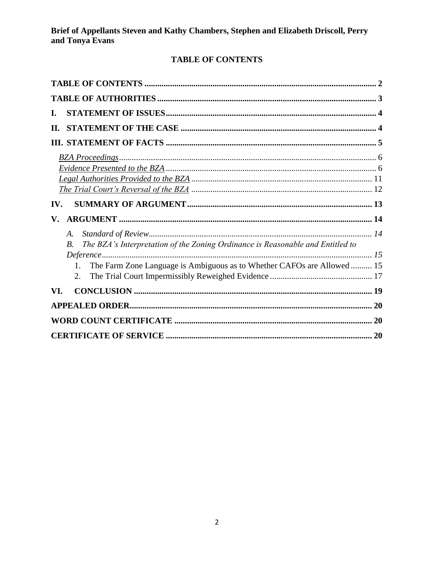# **TABLE OF CONTENTS**

| I.                                                                                                                                                                                            |  |
|-----------------------------------------------------------------------------------------------------------------------------------------------------------------------------------------------|--|
| Н.                                                                                                                                                                                            |  |
|                                                                                                                                                                                               |  |
|                                                                                                                                                                                               |  |
| IV.                                                                                                                                                                                           |  |
|                                                                                                                                                                                               |  |
| V.                                                                                                                                                                                            |  |
| A.<br>The BZA's Interpretation of the Zoning Ordinance is Reasonable and Entitled to<br><i>B</i> .<br>The Farm Zone Language is Ambiguous as to Whether CAFOs are Allowed 15<br>$1_{-}$<br>2. |  |
| VI.                                                                                                                                                                                           |  |
|                                                                                                                                                                                               |  |
|                                                                                                                                                                                               |  |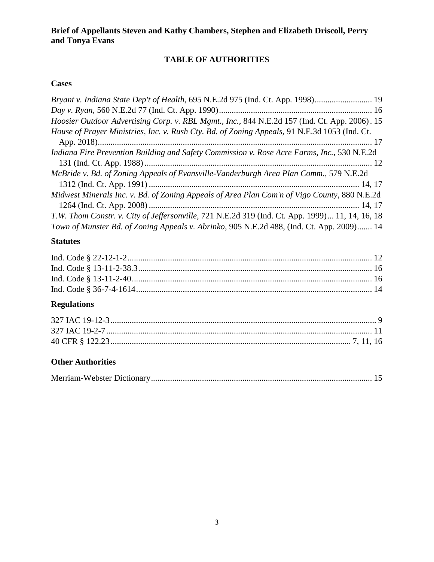# **TABLE OF AUTHORITIES**

# **Cases**

| Bryant v. Indiana State Dep't of Health, 695 N.E.2d 975 (Ind. Ct. App. 1998) 19                 |
|-------------------------------------------------------------------------------------------------|
|                                                                                                 |
| Hoosier Outdoor Advertising Corp. v. RBL Mgmt., Inc., 844 N.E.2d 157 (Ind. Ct. App. 2006). 15   |
| House of Prayer Ministries, Inc. v. Rush Cty. Bd. of Zoning Appeals, 91 N.E.3d 1053 (Ind. Ct.   |
|                                                                                                 |
| Indiana Fire Prevention Building and Safety Commission v. Rose Acre Farms, Inc., 530 N.E.2d     |
|                                                                                                 |
| McBride v. Bd. of Zoning Appeals of Evansville-Vanderburgh Area Plan Comm., 579 N.E.2d          |
|                                                                                                 |
| Midwest Minerals Inc. v. Bd. of Zoning Appeals of Area Plan Com'n of Vigo County, 880 N.E.2d    |
|                                                                                                 |
| T.W. Thom Constr. v. City of Jeffersonville, 721 N.E.2d 319 (Ind. Ct. App. 1999) 11, 14, 16, 18 |
| Town of Munster Bd. of Zoning Appeals v. Abrinko, 905 N.E.2d 488, (Ind. Ct. App. 2009) 14       |

# **Statutes**

# **Regulations**

# **Other Authorities**

|--|--|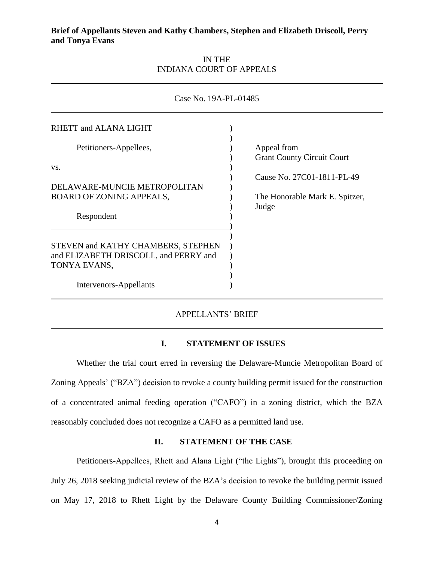## IN THE INDIANA COURT OF APPEALS

| Case No. 19A-PL-01485                                                                       |  |                                                  |  |  |
|---------------------------------------------------------------------------------------------|--|--------------------------------------------------|--|--|
| RHETT and ALANA LIGHT                                                                       |  |                                                  |  |  |
| Petitioners-Appellees,                                                                      |  | Appeal from<br><b>Grant County Circuit Court</b> |  |  |
| VS.                                                                                         |  | Cause No. 27C01-1811-PL-49                       |  |  |
| DELAWARE-MUNCIE METROPOLITAN<br>BOARD OF ZONING APPEALS,                                    |  | The Honorable Mark E. Spitzer,                   |  |  |
| Respondent                                                                                  |  | Judge                                            |  |  |
| STEVEN and KATHY CHAMBERS, STEPHEN<br>and ELIZABETH DRISCOLL, and PERRY and<br>TONYA EVANS, |  |                                                  |  |  |
| Intervenors-Appellants                                                                      |  |                                                  |  |  |

## APPELLANTS' BRIEF

#### **I. STATEMENT OF ISSUES**

Whether the trial court erred in reversing the Delaware-Muncie Metropolitan Board of Zoning Appeals' ("BZA") decision to revoke a county building permit issued for the construction of a concentrated animal feeding operation ("CAFO") in a zoning district, which the BZA reasonably concluded does not recognize a CAFO as a permitted land use.

## **II. STATEMENT OF THE CASE**

Petitioners-Appellees, Rhett and Alana Light ("the Lights"), brought this proceeding on July 26, 2018 seeking judicial review of the BZA's decision to revoke the building permit issued on May 17, 2018 to Rhett Light by the Delaware County Building Commissioner/Zoning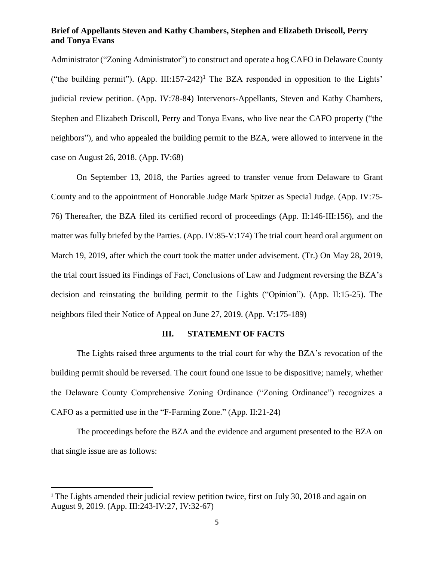Administrator ("Zoning Administrator") to construct and operate a hog CAFO in Delaware County ("the building permit"). (App. III:157-242)<sup>1</sup> The BZA responded in opposition to the Lights' judicial review petition. (App. IV:78-84) Intervenors-Appellants, Steven and Kathy Chambers, Stephen and Elizabeth Driscoll, Perry and Tonya Evans, who live near the CAFO property ("the neighbors"), and who appealed the building permit to the BZA, were allowed to intervene in the case on August 26, 2018. (App. IV:68)

On September 13, 2018, the Parties agreed to transfer venue from Delaware to Grant County and to the appointment of Honorable Judge Mark Spitzer as Special Judge. (App. IV:75- 76) Thereafter, the BZA filed its certified record of proceedings (App. II:146-III:156), and the matter was fully briefed by the Parties. (App. IV:85-V:174) The trial court heard oral argument on March 19, 2019, after which the court took the matter under advisement. (Tr.) On May 28, 2019, the trial court issued its Findings of Fact, Conclusions of Law and Judgment reversing the BZA's decision and reinstating the building permit to the Lights ("Opinion"). (App. II:15-25). The neighbors filed their Notice of Appeal on June 27, 2019. (App. V:175-189)

#### **III. STATEMENT OF FACTS**

The Lights raised three arguments to the trial court for why the BZA's revocation of the building permit should be reversed. The court found one issue to be dispositive; namely, whether the Delaware County Comprehensive Zoning Ordinance ("Zoning Ordinance") recognizes a CAFO as a permitted use in the "F-Farming Zone." (App. II:21-24)

The proceedings before the BZA and the evidence and argument presented to the BZA on that single issue are as follows:

l

<sup>&</sup>lt;sup>1</sup> The Lights amended their judicial review petition twice, first on July 30, 2018 and again on August 9, 2019. (App. III:243-IV:27, IV:32-67)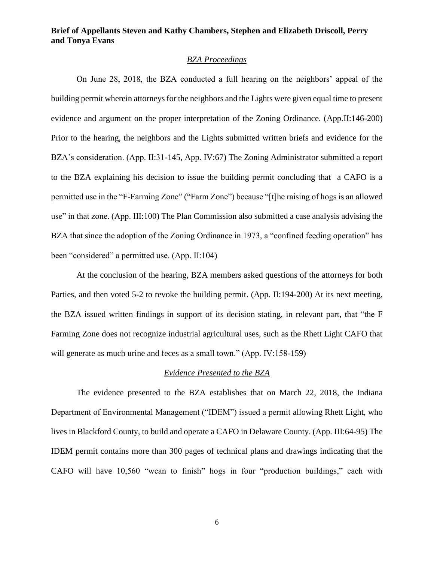## *BZA Proceedings*

On June 28, 2018, the BZA conducted a full hearing on the neighbors' appeal of the building permit wherein attorneys for the neighbors and the Lights were given equal time to present evidence and argument on the proper interpretation of the Zoning Ordinance. (App.II:146-200) Prior to the hearing, the neighbors and the Lights submitted written briefs and evidence for the BZA's consideration. (App. II:31-145, App. IV:67) The Zoning Administrator submitted a report to the BZA explaining his decision to issue the building permit concluding that a CAFO is a permitted use in the "F-Farming Zone" ("Farm Zone") because "[t]he raising of hogs is an allowed use" in that zone. (App. III:100) The Plan Commission also submitted a case analysis advising the BZA that since the adoption of the Zoning Ordinance in 1973, a "confined feeding operation" has been "considered" a permitted use. (App. II:104)

At the conclusion of the hearing, BZA members asked questions of the attorneys for both Parties, and then voted 5-2 to revoke the building permit. (App. II:194-200) At its next meeting, the BZA issued written findings in support of its decision stating, in relevant part, that "the F Farming Zone does not recognize industrial agricultural uses, such as the Rhett Light CAFO that will generate as much urine and feces as a small town." (App. IV:158-159)

#### *Evidence Presented to the BZA*

The evidence presented to the BZA establishes that on March 22, 2018, the Indiana Department of Environmental Management ("IDEM") issued a permit allowing Rhett Light, who lives in Blackford County, to build and operate a CAFO in Delaware County. (App. III:64-95) The IDEM permit contains more than 300 pages of technical plans and drawings indicating that the CAFO will have 10,560 "wean to finish" hogs in four "production buildings," each with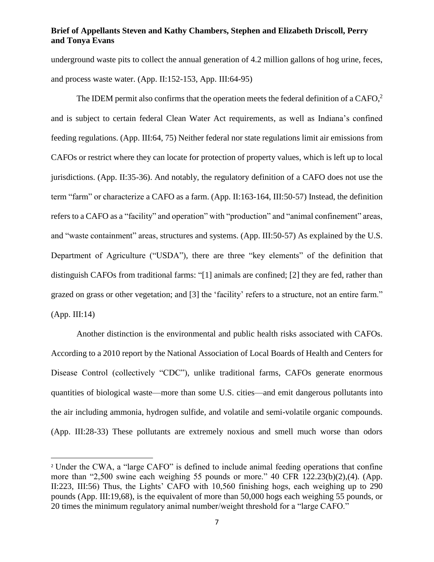underground waste pits to collect the annual generation of 4.2 million gallons of hog urine, feces, and process waste water. (App. II:152-153, App. III:64-95)

The IDEM permit also confirms that the operation meets the federal definition of a  $CAFO<sub>l</sub><sup>2</sup>$ and is subject to certain federal Clean Water Act requirements, as well as Indiana's confined feeding regulations. (App. III:64, 75) Neither federal nor state regulations limit air emissions from CAFOs or restrict where they can locate for protection of property values, which is left up to local jurisdictions. (App. II:35-36). And notably, the regulatory definition of a CAFO does not use the term "farm" or characterize a CAFO as a farm. (App. II:163-164, III:50-57) Instead, the definition refers to a CAFO as a "facility" and operation" with "production" and "animal confinement" areas, and "waste containment" areas, structures and systems. (App. III:50-57) As explained by the U.S. Department of Agriculture ("USDA"), there are three "key elements" of the definition that distinguish CAFOs from traditional farms: "[1] animals are confined; [2] they are fed, rather than grazed on grass or other vegetation; and [3] the 'facility' refers to a structure, not an entire farm." (App. III:14)

Another distinction is the environmental and public health risks associated with CAFOs. According to a 2010 report by the National Association of Local Boards of Health and Centers for Disease Control (collectively "CDC"), unlike traditional farms, CAFOs generate enormous quantities of biological waste—more than some U.S. cities—and emit dangerous pollutants into the air including ammonia, hydrogen sulfide, and volatile and semi-volatile organic compounds. (App. III:28-33) These pollutants are extremely noxious and smell much worse than odors

 $\overline{\phantom{a}}$ 

<sup>2</sup> Under the CWA, a "large CAFO" is defined to include animal feeding operations that confine more than "2,500 swine each weighing 55 pounds or more." 40 CFR 122.23(b)(2),(4). (App. II:223, III:56) Thus, the Lights' CAFO with 10,560 finishing hogs, each weighing up to 290 pounds (App. III:19,68), is the equivalent of more than 50,000 hogs each weighing 55 pounds, or 20 times the minimum regulatory animal number/weight threshold for a "large CAFO."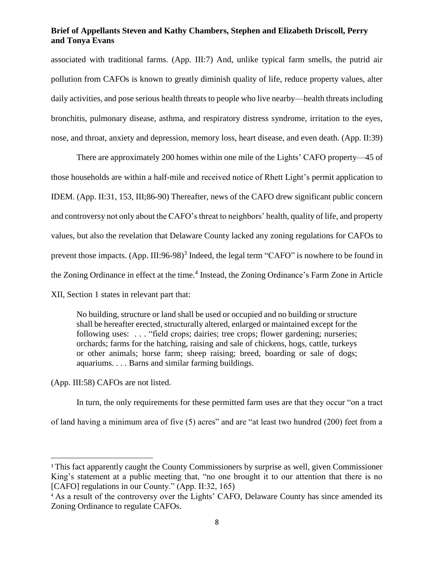associated with traditional farms. (App. III:7) And, unlike typical farm smells, the putrid air pollution from CAFOs is known to greatly diminish quality of life, reduce property values, alter daily activities, and pose serious health threats to people who live nearby—health threats including bronchitis, pulmonary disease, asthma, and respiratory distress syndrome, irritation to the eyes, nose, and throat, anxiety and depression, memory loss, heart disease, and even death. (App. II:39)

There are approximately 200 homes within one mile of the Lights' CAFO property—45 of those households are within a half-mile and received notice of Rhett Light's permit application to IDEM. (App. II:31, 153, III;86-90) Thereafter, news of the CAFO drew significant public concern and controversy not only about the CAFO's threat to neighbors' health, quality of life, and property values, but also the revelation that Delaware County lacked any zoning regulations for CAFOs to prevent those impacts. (App. III:96-98)<sup>3</sup> Indeed, the legal term "CAFO" is nowhere to be found in the Zoning Ordinance in effect at the time. 4 Instead, the Zoning Ordinance's Farm Zone in Article XII, Section 1 states in relevant part that:

No building, structure or land shall be used or occupied and no building or structure shall be hereafter erected, structurally altered, enlarged or maintained except for the following uses: . . . "field crops; dairies; tree crops; flower gardening; nurseries; orchards; farms for the hatching, raising and sale of chickens, hogs, cattle, turkeys or other animals; horse farm; sheep raising; breed, boarding or sale of dogs; aquariums. . . . Barns and similar farming buildings.

(App. III:58) CAFOs are not listed.

 $\overline{\phantom{a}}$ 

In turn, the only requirements for these permitted farm uses are that they occur "on a tract of land having a minimum area of five (5) acres" and are "at least two hundred (200) feet from a

<sup>&</sup>lt;sup>3</sup> This fact apparently caught the County Commissioners by surprise as well, given Commissioner King's statement at a public meeting that, "no one brought it to our attention that there is no [CAFO] regulations in our County." (App. II:32, 165)

<sup>&</sup>lt;sup>4</sup> As a result of the controversy over the Lights' CAFO, Delaware County has since amended its Zoning Ordinance to regulate CAFOs.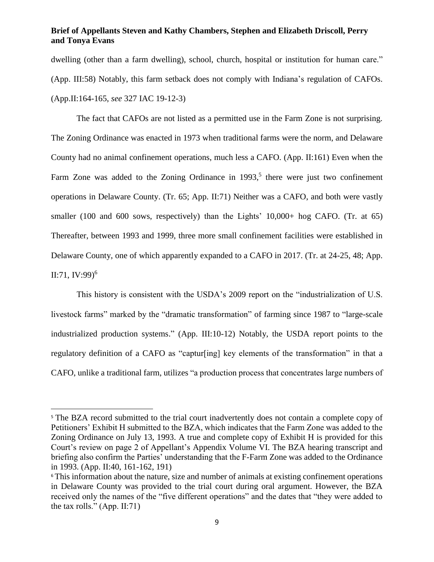dwelling (other than a farm dwelling), school, church, hospital or institution for human care." (App. III:58) Notably, this farm setback does not comply with Indiana's regulation of CAFOs. (App.II:164-165, *see* 327 IAC 19-12-3)

The fact that CAFOs are not listed as a permitted use in the Farm Zone is not surprising. The Zoning Ordinance was enacted in 1973 when traditional farms were the norm, and Delaware County had no animal confinement operations, much less a CAFO. (App. II:161) Even when the Farm Zone was added to the Zoning Ordinance in  $1993$ ,<sup>5</sup> there were just two confinement operations in Delaware County. (Tr. 65; App. II:71) Neither was a CAFO, and both were vastly smaller (100 and 600 sows, respectively) than the Lights' 10,000+ hog CAFO. (Tr. at 65) Thereafter, between 1993 and 1999, three more small confinement facilities were established in Delaware County, one of which apparently expanded to a CAFO in 2017. (Tr. at 24-25, 48; App. II:71, IV:99) 6

This history is consistent with the USDA's 2009 report on the "industrialization of U.S. livestock farms" marked by the "dramatic transformation" of farming since 1987 to "large-scale industrialized production systems." (App. III:10-12) Notably, the USDA report points to the regulatory definition of a CAFO as "captur[ing] key elements of the transformation" in that a CAFO, unlike a traditional farm, utilizes "a production process that concentrates large numbers of

 $\overline{\phantom{a}}$ 

<sup>&</sup>lt;sup>5</sup> The BZA record submitted to the trial court inadvertently does not contain a complete copy of Petitioners' Exhibit H submitted to the BZA, which indicates that the Farm Zone was added to the Zoning Ordinance on July 13, 1993. A true and complete copy of Exhibit H is provided for this Court's review on page 2 of Appellant's Appendix Volume VI. The BZA hearing transcript and briefing also confirm the Parties' understanding that the F-Farm Zone was added to the Ordinance in 1993. (App. II:40, 161-162, 191)

<sup>&</sup>lt;sup>6</sup> This information about the nature, size and number of animals at existing confinement operations in Delaware County was provided to the trial court during oral argument. However, the BZA received only the names of the "five different operations" and the dates that "they were added to the tax rolls." (App. II:71)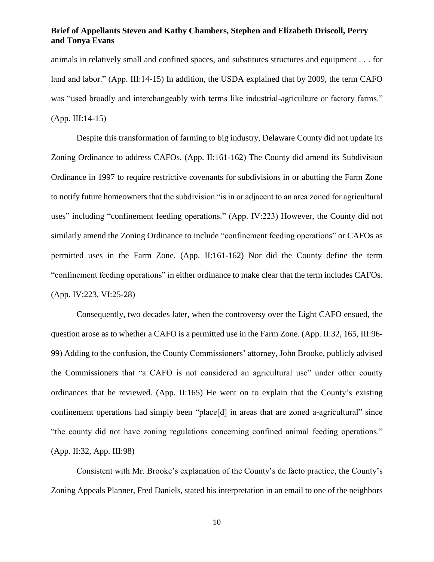animals in relatively small and confined spaces, and substitutes structures and equipment . . . for land and labor." (App. III:14-15) In addition, the USDA explained that by 2009, the term CAFO was "used broadly and interchangeably with terms like industrial-agriculture or factory farms." (App. III:14-15)

Despite this transformation of farming to big industry, Delaware County did not update its Zoning Ordinance to address CAFOs. (App. II:161-162) The County did amend its Subdivision Ordinance in 1997 to require restrictive covenants for subdivisions in or abutting the Farm Zone to notify future homeowners that the subdivision "is in or adjacent to an area zoned for agricultural uses" including "confinement feeding operations." (App. IV:223) However, the County did not similarly amend the Zoning Ordinance to include "confinement feeding operations" or CAFOs as permitted uses in the Farm Zone. (App. II:161-162) Nor did the County define the term "confinement feeding operations" in either ordinance to make clear that the term includes CAFOs. (App. IV:223, VI:25-28)

Consequently, two decades later, when the controversy over the Light CAFO ensued, the question arose as to whether a CAFO is a permitted use in the Farm Zone. (App. II:32, 165, III:96- 99) Adding to the confusion, the County Commissioners' attorney, John Brooke, publicly advised the Commissioners that "a CAFO is not considered an agricultural use" under other county ordinances that he reviewed. (App. II:165) He went on to explain that the County's existing confinement operations had simply been "place[d] in areas that are zoned a-agricultural" since "the county did not have zoning regulations concerning confined animal feeding operations." (App. II:32, App. III:98)

Consistent with Mr. Brooke's explanation of the County's de facto practice, the County's Zoning Appeals Planner, Fred Daniels, stated his interpretation in an email to one of the neighbors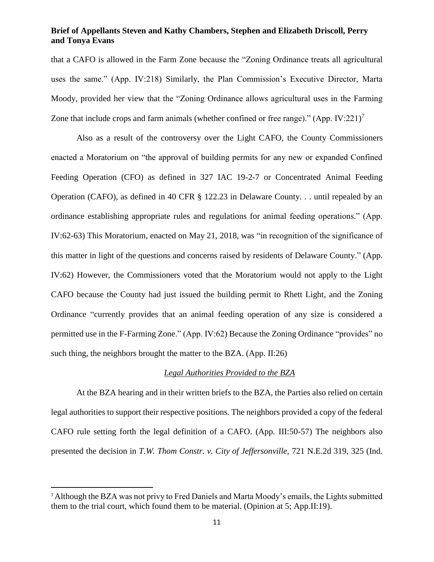that a CAFO is allowed in the Farm Zone because the "Zoning Ordinance treats all agricultural uses the same." (App. IV:218) Similarly, the Plan Commission's Executive Director, Marta Moody, provided her view that the "Zoning Ordinance allows agricultural uses in the Farming Zone that include crops and farm animals (whether confined or free range)." (App. IV:221)<sup>7</sup>

Also as a result of the controversy over the Light CAFO, the County Commissioners enacted a Moratorium on "the approval of building permits for any new or expanded Confined Feeding Operation (CFO) as defined in 327 IAC 19-2-7 or Concentrated Animal Feeding Operation (CAFO), as defined in 40 CFR § 122.23 in Delaware County. . . until repealed by an ordinance establishing appropriate rules and regulations for animal feeding operations." (App. IV:62-63) This Moratorium, enacted on May 21, 2018, was "in recognition of the significance of this matter in light of the questions and concerns raised by residents of Delaware County." (App. IV:62) However, the Commissioners voted that the Moratorium would not apply to the Light CAFO because the County had just issued the building permit to Rhett Light, and the Zoning Ordinance "currently provides that an animal feeding operation of any size is considered a permitted use in the F-Farming Zone." (App. IV:62) Because the Zoning Ordinance "provides" no such thing, the neighbors brought the matter to the BZA. (App. II:26)

### *Legal Authorities Provided to the BZA*

At the BZA hearing and in their written briefs to the BZA, the Parties also relied on certain legal authorities to support their respective positions. The neighbors provided a copy of the federal CAFO rule setting forth the legal definition of a CAFO. (App. III:50-57) The neighbors also presented the decision in *T.W. Thom Constr. v. City of Jeffersonville,* 721 N.E.2d 319, 325 (Ind.

l

<sup>7</sup> Although the BZA was not privy to Fred Daniels and Marta Moody's emails, the Lights submitted them to the trial court, which found them to be material. (Opinion at 5; App.II:19).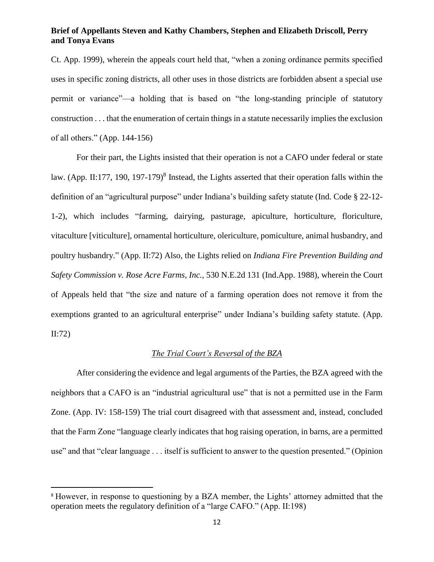Ct. App. 1999), wherein the appeals court held that, "when a zoning ordinance permits specified uses in specific zoning districts, all other uses in those districts are forbidden absent a special use permit or variance"—a holding that is based on "the long-standing principle of statutory construction . . . that the enumeration of certain things in a statute necessarily implies the exclusion of all others." (App. 144-156)

For their part, the Lights insisted that their operation is not a CAFO under federal or state law. (App. II:177, 190, 197-179)<sup>8</sup> Instead, the Lights asserted that their operation falls within the definition of an "agricultural purpose" under Indiana's building safety statute (Ind. Code § 22-12- 1-2), which includes "farming, dairying, pasturage, apiculture, horticulture, floriculture, vitaculture [viticulture], ornamental horticulture, olericulture, pomiculture, animal husbandry, and poultry husbandry." (App. II:72) Also, the Lights relied on *Indiana Fire Prevention Building and Safety Commission v. Rose Acre Farms, Inc.*, 530 N.E.2d 131 (Ind.App. 1988), wherein the Court of Appeals held that "the size and nature of a farming operation does not remove it from the exemptions granted to an agricultural enterprise" under Indiana's building safety statute. (App. II:72)

## *The Trial Court's Reversal of the BZA*

After considering the evidence and legal arguments of the Parties, the BZA agreed with the neighbors that a CAFO is an "industrial agricultural use" that is not a permitted use in the Farm Zone. (App. IV: 158-159) The trial court disagreed with that assessment and, instead, concluded that the Farm Zone "language clearly indicates that hog raising operation, in barns, are a permitted use" and that "clear language . . . itself is sufficient to answer to the question presented." (Opinion

l

<sup>8</sup> However, in response to questioning by a BZA member, the Lights' attorney admitted that the operation meets the regulatory definition of a "large CAFO." (App. II:198)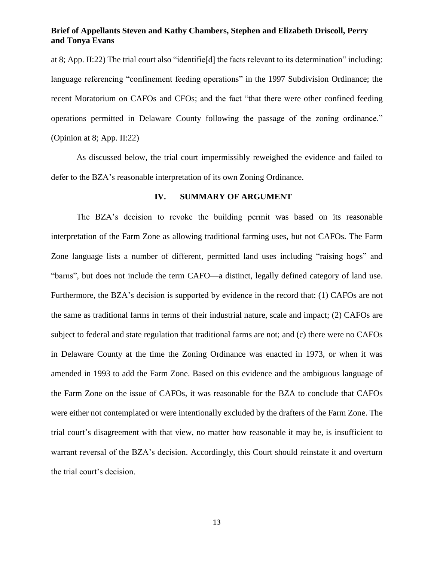at 8; App. II:22) The trial court also "identifie[d] the facts relevant to its determination" including: language referencing "confinement feeding operations" in the 1997 Subdivision Ordinance; the recent Moratorium on CAFOs and CFOs; and the fact "that there were other confined feeding operations permitted in Delaware County following the passage of the zoning ordinance." (Opinion at 8; App. II:22)

As discussed below, the trial court impermissibly reweighed the evidence and failed to defer to the BZA's reasonable interpretation of its own Zoning Ordinance.

#### **IV. SUMMARY OF ARGUMENT**

The BZA's decision to revoke the building permit was based on its reasonable interpretation of the Farm Zone as allowing traditional farming uses, but not CAFOs. The Farm Zone language lists a number of different, permitted land uses including "raising hogs" and "barns", but does not include the term CAFO—a distinct, legally defined category of land use. Furthermore, the BZA's decision is supported by evidence in the record that: (1) CAFOs are not the same as traditional farms in terms of their industrial nature, scale and impact; (2) CAFOs are subject to federal and state regulation that traditional farms are not; and (c) there were no CAFOs in Delaware County at the time the Zoning Ordinance was enacted in 1973, or when it was amended in 1993 to add the Farm Zone. Based on this evidence and the ambiguous language of the Farm Zone on the issue of CAFOs, it was reasonable for the BZA to conclude that CAFOs were either not contemplated or were intentionally excluded by the drafters of the Farm Zone. The trial court's disagreement with that view, no matter how reasonable it may be, is insufficient to warrant reversal of the BZA's decision. Accordingly, this Court should reinstate it and overturn the trial court's decision.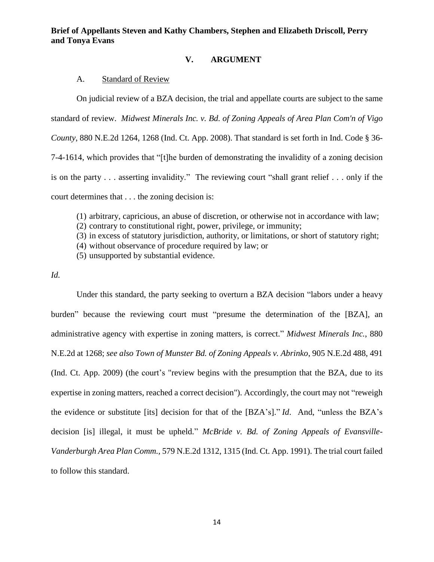## **V. ARGUMENT**

#### A. Standard of Review

On judicial review of a BZA decision, the trial and appellate courts are subject to the same standard of review. *Midwest Minerals Inc. v. Bd. of Zoning Appeals of Area Plan Com'n of Vigo County*, 880 N.E.2d 1264, 1268 (Ind. Ct. App. 2008). That standard is set forth in Ind. Code § 36- 7-4-1614, which provides that "[t]he burden of demonstrating the invalidity of a zoning decision is on the party . . . asserting invalidity." The reviewing court "shall grant relief . . . only if the court determines that . . . the zoning decision is:

(1) arbitrary, capricious, an abuse of discretion, or otherwise not in accordance with law;

(2) contrary to constitutional right, power, privilege, or immunity;

(3) in excess of statutory jurisdiction, authority, or limitations, or short of statutory right;

(4) without observance of procedure required by law; or

(5) unsupported by substantial evidence.

## *Id.*

Under this standard, the party seeking to overturn a BZA decision "labors under a heavy burden" because the reviewing court must "presume the determination of the [BZA], an administrative agency with expertise in zoning matters, is correct." *Midwest Minerals Inc.*, 880 N.E.2d at 1268; *see also Town of Munster Bd. of Zoning Appeals v. Abrinko*, 905 N.E.2d 488, 491 (Ind. Ct. App. 2009) (the court's "review begins with the presumption that the BZA, due to its expertise in zoning matters, reached a correct decision"). Accordingly, the court may not "reweigh the evidence or substitute [its] decision for that of the [BZA's]." *Id*. And, "unless the BZA's decision [is] illegal, it must be upheld." *McBride v. Bd. of Zoning Appeals of Evansville-Vanderburgh Area Plan Comm.,* 579 N.E.2d 1312, 1315 (Ind. Ct. App. 1991). The trial court failed to follow this standard.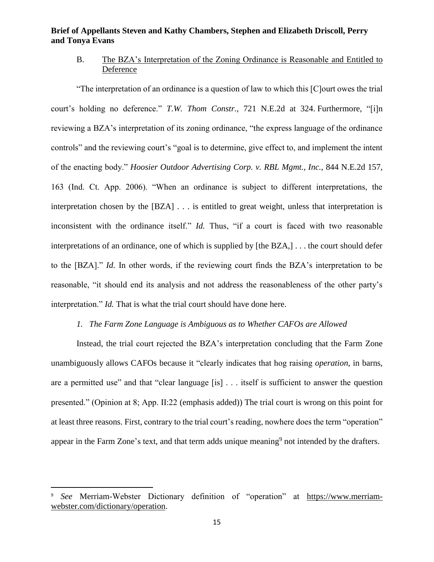## B. The BZA's Interpretation of the Zoning Ordinance is Reasonable and Entitled to Deference

"The interpretation of an ordinance is a question of law to which this [C]ourt owes the trial court's holding no deference." *T.W. Thom Constr.,* 721 N.E.2d at 324. Furthermore, "[i]n reviewing a BZA's interpretation of its zoning ordinance, "the express language of the ordinance controls" and the reviewing court's "goal is to determine, give effect to, and implement the intent of the enacting body." *Hoosier Outdoor Advertising Corp. v. RBL Mgmt., Inc.,* 844 N.E.2d 157, 163 (Ind. Ct. App. 2006). "When an ordinance is subject to different interpretations, the interpretation chosen by the [BZA] . . . is entitled to great weight, unless that interpretation is inconsistent with the ordinance itself." *Id.* Thus, "if a court is faced with two reasonable interpretations of an ordinance, one of which is supplied by [the BZA,] . . . the court should defer to the [BZA]." *Id.* In other words, if the reviewing court finds the BZA's interpretation to be reasonable, "it should end its analysis and not address the reasonableness of the other party's interpretation." *Id.* That is what the trial court should have done here.

### *1. The Farm Zone Language is Ambiguous as to Whether CAFOs are Allowed*

Instead, the trial court rejected the BZA's interpretation concluding that the Farm Zone unambiguously allows CAFOs because it "clearly indicates that hog raising *operation*, in barns, are a permitted use" and that "clear language [is] . . . itself is sufficient to answer the question presented." (Opinion at 8; App. II:22 (emphasis added)) The trial court is wrong on this point for at least three reasons. First, contrary to the trial court's reading, nowhere does the term "operation" appear in the Farm Zone's text, and that term adds unique meaning<sup>9</sup> not intended by the drafters.

l

<sup>9</sup> *See* Merriam-Webster Dictionary definition of "operation" at [https://www.merriam](https://www.merriam-webster.com/dictionary/operation)[webster.com/dictionary/operation.](https://www.merriam-webster.com/dictionary/operation)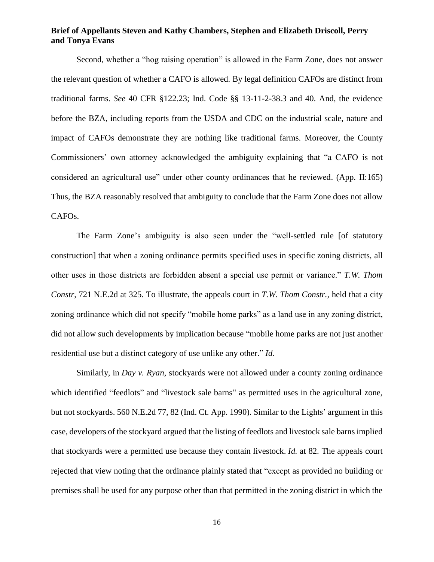Second, whether a "hog raising operation" is allowed in the Farm Zone, does not answer the relevant question of whether a CAFO is allowed. By legal definition CAFOs are distinct from traditional farms. *See* 40 CFR §122.23; Ind. Code §§ 13-11-2-38.3 and 40. And, the evidence before the BZA, including reports from the USDA and CDC on the industrial scale, nature and impact of CAFOs demonstrate they are nothing like traditional farms. Moreover, the County Commissioners' own attorney acknowledged the ambiguity explaining that "a CAFO is not considered an agricultural use" under other county ordinances that he reviewed. (App. II:165) Thus, the BZA reasonably resolved that ambiguity to conclude that the Farm Zone does not allow CAFOs.

The Farm Zone's ambiguity is also seen under the "well-settled rule [of statutory construction] that when a zoning ordinance permits specified uses in specific zoning districts, all other uses in those districts are forbidden absent a special use permit or variance." *T.W. Thom Constr,* 721 N.E.2d at 325. To illustrate, the appeals court in *T.W. Thom Constr.,* held that a city zoning ordinance which did not specify "mobile home parks" as a land use in any zoning district, did not allow such developments by implication because "mobile home parks are not just another residential use but a distinct category of use unlike any other." *Id.*

Similarly, in *Day v. Ryan*, stockyards were not allowed under a county zoning ordinance which identified "feedlots" and "livestock sale barns" as permitted uses in the agricultural zone, but not stockyards. 560 N.E.2d 77, 82 (Ind. Ct. App. 1990). Similar to the Lights' argument in this case, developers of the stockyard argued that the listing of feedlots and livestock sale barns implied that stockyards were a permitted use because they contain livestock. *Id.* at 82. The appeals court rejected that view noting that the ordinance plainly stated that "except as provided no building or premises shall be used for any purpose other than that permitted in the zoning district in which the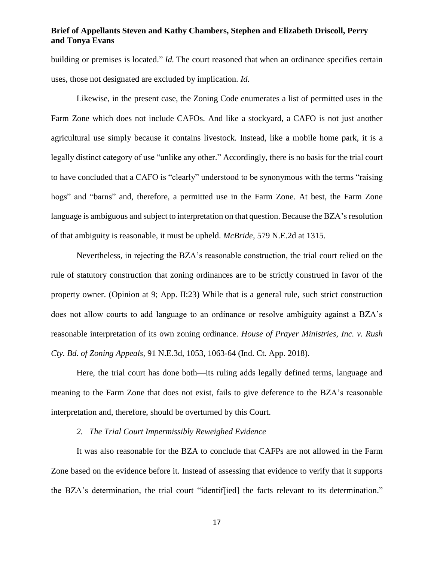building or premises is located." *Id.* The court reasoned that when an ordinance specifies certain uses, those not designated are excluded by implication. *Id.*

Likewise, in the present case, the Zoning Code enumerates a list of permitted uses in the Farm Zone which does not include CAFOs. And like a stockyard, a CAFO is not just another agricultural use simply because it contains livestock. Instead, like a mobile home park, it is a legally distinct category of use "unlike any other." Accordingly, there is no basis for the trial court to have concluded that a CAFO is "clearly" understood to be synonymous with the terms "raising hogs" and "barns" and, therefore, a permitted use in the Farm Zone. At best, the Farm Zone language is ambiguous and subject to interpretation on that question. Because the BZA's resolution of that ambiguity is reasonable, it must be upheld. *McBride,* 579 N.E.2d at 1315.

Nevertheless, in rejecting the BZA's reasonable construction, the trial court relied on the rule of statutory construction that zoning ordinances are to be strictly construed in favor of the property owner. (Opinion at 9; App. II:23) While that is a general rule, such strict construction does not allow courts to add language to an ordinance or resolve ambiguity against a BZA's reasonable interpretation of its own zoning ordinance. *House of Prayer Ministries, Inc. v. Rush Cty. Bd. of Zoning Appeals,* 91 N.E.3d, 1053, 1063-64 (Ind. Ct. App. 2018).

Here, the trial court has done both—its ruling adds legally defined terms, language and meaning to the Farm Zone that does not exist, fails to give deference to the BZA's reasonable interpretation and, therefore, should be overturned by this Court.

#### *2. The Trial Court Impermissibly Reweighed Evidence*

It was also reasonable for the BZA to conclude that CAFPs are not allowed in the Farm Zone based on the evidence before it. Instead of assessing that evidence to verify that it supports the BZA's determination, the trial court "identif[ied] the facts relevant to its determination."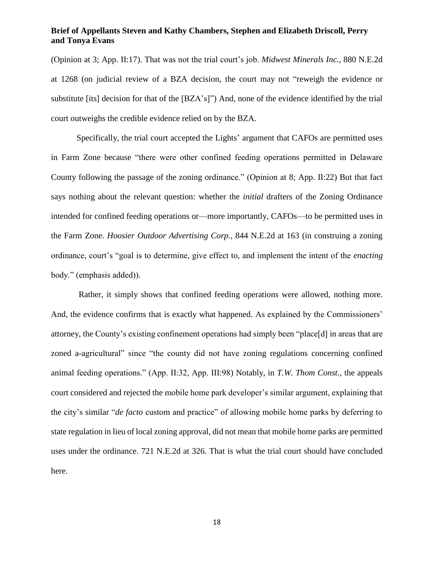(Opinion at 3; App. II:17). That was not the trial court's job. *Midwest Minerals Inc.*, 880 N.E.2d at 1268 (on judicial review of a BZA decision, the court may not "reweigh the evidence or substitute [its] decision for that of the [BZA's]") And, none of the evidence identified by the trial court outweighs the credible evidence relied on by the BZA.

Specifically, the trial court accepted the Lights' argument that CAFOs are permitted uses in Farm Zone because "there were other confined feeding operations permitted in Delaware County following the passage of the zoning ordinance." (Opinion at 8; App. II:22) But that fact says nothing about the relevant question: whether the *initial* drafters of the Zoning Ordinance intended for confined feeding operations or—more importantly, CAFOs—to be permitted uses in the Farm Zone. *Hoosier Outdoor Advertising Corp.,* 844 N.E.2d at 163 (in construing a zoning ordinance, court's "goal is to determine, give effect to, and implement the intent of the *enacting* body." (emphasis added)).

Rather, it simply shows that confined feeding operations were allowed, nothing more. And, the evidence confirms that is exactly what happened. As explained by the Commissioners' attorney, the County's existing confinement operations had simply been "place[d] in areas that are zoned a-agricultural" since "the county did not have zoning regulations concerning confined animal feeding operations." (App. II:32, App. III:98) Notably, in *T.W. Thom Const.,* the appeals court considered and rejected the mobile home park developer's similar argument, explaining that the city's similar "*de facto* custom and practice" of allowing mobile home parks by deferring to state regulation in lieu of local zoning approval, did not mean that mobile home parks are permitted uses under the ordinance. 721 N.E.2d at 326. That is what the trial court should have concluded here.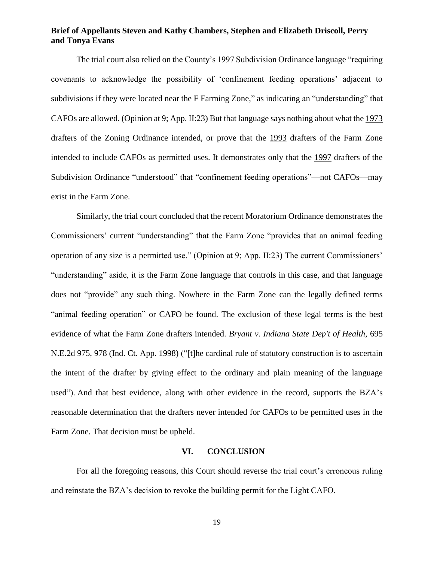The trial court also relied on the County's 1997 Subdivision Ordinance language "requiring covenants to acknowledge the possibility of 'confinement feeding operations' adjacent to subdivisions if they were located near the F Farming Zone," as indicating an "understanding" that CAFOs are allowed. (Opinion at 9; App. II:23) But that language says nothing about what the 1973 drafters of the Zoning Ordinance intended, or prove that the 1993 drafters of the Farm Zone intended to include CAFOs as permitted uses. It demonstrates only that the 1997 drafters of the Subdivision Ordinance "understood" that "confinement feeding operations"—not CAFOs—may exist in the Farm Zone.

Similarly, the trial court concluded that the recent Moratorium Ordinance demonstrates the Commissioners' current "understanding" that the Farm Zone "provides that an animal feeding operation of any size is a permitted use." (Opinion at 9; App. II:23) The current Commissioners' "understanding" aside, it is the Farm Zone language that controls in this case, and that language does not "provide" any such thing. Nowhere in the Farm Zone can the legally defined terms "animal feeding operation" or CAFO be found. The exclusion of these legal terms is the best evidence of what the Farm Zone drafters intended. *Bryant v. Indiana State Dep't of Health*, 695 N.E.2d 975, 978 (Ind. Ct. App. 1998) ("[t]he cardinal rule of statutory construction is to ascertain the intent of the drafter by giving effect to the ordinary and plain meaning of the language used"). And that best evidence, along with other evidence in the record, supports the BZA's reasonable determination that the drafters never intended for CAFOs to be permitted uses in the Farm Zone. That decision must be upheld.

#### **VI. CONCLUSION**

For all the foregoing reasons, this Court should reverse the trial court's erroneous ruling and reinstate the BZA's decision to revoke the building permit for the Light CAFO.

19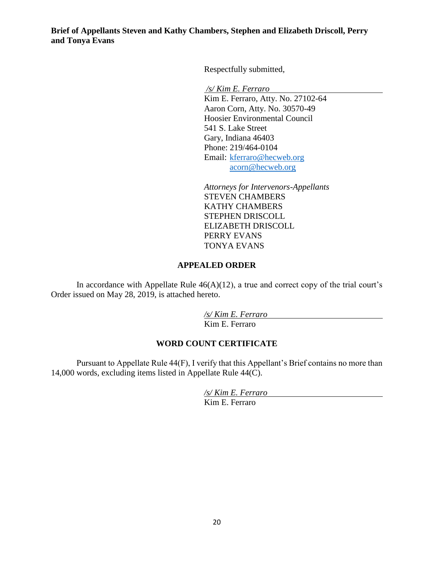Respectfully submitted,

*/s/ Kim E. Ferraro*

Kim E. Ferraro, Atty. No. 27102-64 Aaron Corn, Atty. No. 30570-49 Hoosier Environmental Council 541 S. Lake Street Gary, Indiana 46403 Phone: 219/464-0104 Email: [kferraro@hecweb.org](mailto:kferraro@hecweb.org) [acorn@hecweb.org](mailto:acorn@hecweb.org)

*Attorneys for Intervenors-Appellants* STEVEN CHAMBERS KATHY CHAMBERS STEPHEN DRISCOLL ELIZABETH DRISCOLL PERRY EVANS TONYA EVANS

## **APPEALED ORDER**

In accordance with Appellate Rule  $46(A)(12)$ , a true and correct copy of the trial court's Order issued on May 28, 2019, is attached hereto.

> */s/ Kim E. Ferraro* Kim E. Ferraro

## **WORD COUNT CERTIFICATE**

Pursuant to Appellate Rule 44(F), I verify that this Appellant's Brief contains no more than 14,000 words, excluding items listed in Appellate Rule 44(C).

> */s/ Kim E. Ferraro* Kim E. Ferraro